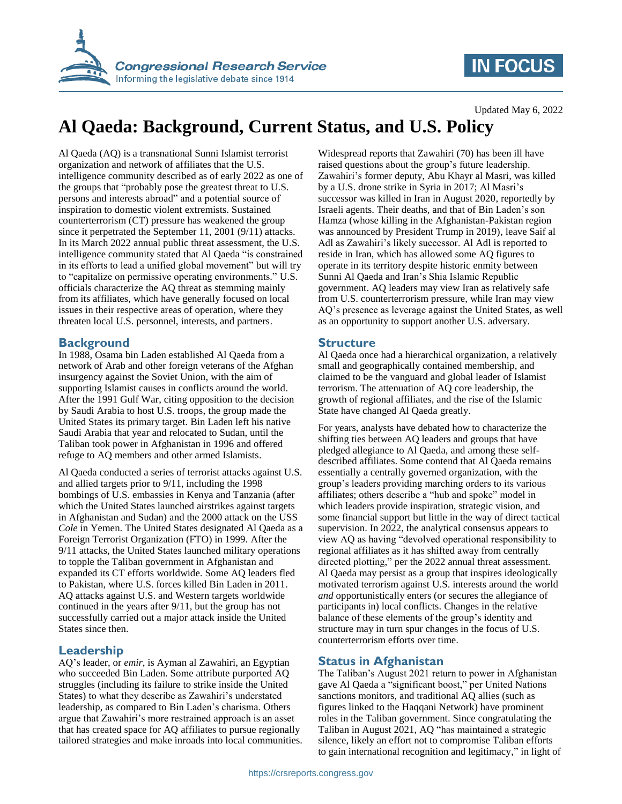

# **IN FOCUS**

Updated May 6, 2022

# **Al Qaeda: Background, Current Status, and U.S. Policy**

Al Qaeda (AQ) is a transnational Sunni Islamist terrorist organization and network of affiliates that the U.S. intelligence community described as of early 2022 as one of the groups that "probably pose the greatest threat to U.S. persons and interests abroad" and a potential source of inspiration to domestic violent extremists. Sustained counterterrorism (CT) pressure has weakened the group since it perpetrated the September 11, 2001 (9/11) attacks. In its March 2022 annual public threat assessment, the U.S. intelligence community stated that Al Qaeda "is constrained in its efforts to lead a unified global movement" but will try to "capitalize on permissive operating environments." U.S. officials characterize the AQ threat as stemming mainly from its affiliates, which have generally focused on local issues in their respective areas of operation, where they threaten local U.S. personnel, interests, and partners.

### **Background**

In 1988, Osama bin Laden established Al Qaeda from a network of Arab and other foreign veterans of the Afghan insurgency against the Soviet Union, with the aim of supporting Islamist causes in conflicts around the world. After the 1991 Gulf War, citing opposition to the decision by Saudi Arabia to host U.S. troops, the group made the United States its primary target. Bin Laden left his native Saudi Arabia that year and relocated to Sudan, until the Taliban took power in Afghanistan in 1996 and offered refuge to AQ members and other armed Islamists.

Al Qaeda conducted a series of terrorist attacks against U.S. and allied targets prior to 9/11, including the 1998 bombings of U.S. embassies in Kenya and Tanzania (after which the United States launched airstrikes against targets in Afghanistan and Sudan) and the 2000 attack on the USS *Cole* in Yemen. The United States designated Al Qaeda as a Foreign Terrorist Organization (FTO) in 1999. After the 9/11 attacks, the United States launched military operations to topple the Taliban government in Afghanistan and expanded its CT efforts worldwide. Some AQ leaders fled to Pakistan, where U.S. forces killed Bin Laden in 2011. AQ attacks against U.S. and Western targets worldwide continued in the years after 9/11, but the group has not successfully carried out a major attack inside the United States since then.

#### **Leadership**

AQ's leader, or *emir*, is Ayman al Zawahiri, an Egyptian who succeeded Bin Laden. Some attribute purported AQ struggles (including its failure to strike inside the United States) to what they describe as Zawahiri's understated leadership, as compared to Bin Laden's charisma. Others argue that Zawahiri's more restrained approach is an asset that has created space for AQ affiliates to pursue regionally tailored strategies and make inroads into local communities. Widespread reports that Zawahiri (70) has been ill have raised questions about the group's future leadership. Zawahiri's former deputy, Abu Khayr al Masri, was killed by a U.S. drone strike in Syria in 2017; Al Masri's successor was killed in Iran in August 2020, reportedly by Israeli agents. Their deaths, and that of Bin Laden's son Hamza (whose killing in the Afghanistan-Pakistan region was announced by President Trump in 2019), leave Saif al Adl as Zawahiri's likely successor. Al Adl is reported to reside in Iran, which has allowed some AQ figures to operate in its territory despite historic enmity between Sunni Al Qaeda and Iran's Shia Islamic Republic government. AQ leaders may view Iran as relatively safe from U.S. counterterrorism pressure, while Iran may view AQ's presence as leverage against the United States, as well as an opportunity to support another U.S. adversary.

### **Structure**

Al Qaeda once had a hierarchical organization, a relatively small and geographically contained membership, and claimed to be the vanguard and global leader of Islamist terrorism. The attenuation of AQ core leadership, the growth of regional affiliates, and the rise of the Islamic State have changed Al Qaeda greatly.

For years, analysts have debated how to characterize the shifting ties between AQ leaders and groups that have pledged allegiance to Al Qaeda, and among these selfdescribed affiliates. Some contend that Al Qaeda remains essentially a centrally governed organization, with the group's leaders providing marching orders to its various affiliates; others describe a "hub and spoke" model in which leaders provide inspiration, strategic vision, and some financial support but little in the way of direct tactical supervision. In 2022, the analytical consensus appears to view AQ as having "devolved operational responsibility to regional affiliates as it has shifted away from centrally directed plotting," per the 2022 annual threat assessment. Al Qaeda may persist as a group that inspires ideologically motivated terrorism against U.S. interests around the world *and* opportunistically enters (or secures the allegiance of participants in) local conflicts. Changes in the relative balance of these elements of the group's identity and structure may in turn spur changes in the focus of U.S. counterterrorism efforts over time.

## **Status in Afghanistan**

The Taliban's August 2021 return to power in Afghanistan gave Al Qaeda a "significant boost," per United Nations sanctions monitors, and traditional AQ allies (such as figures linked to the Haqqani Network) have prominent roles in the Taliban government. Since congratulating the Taliban in August 2021, AQ "has maintained a strategic silence, likely an effort not to compromise Taliban efforts to gain international recognition and legitimacy," in light of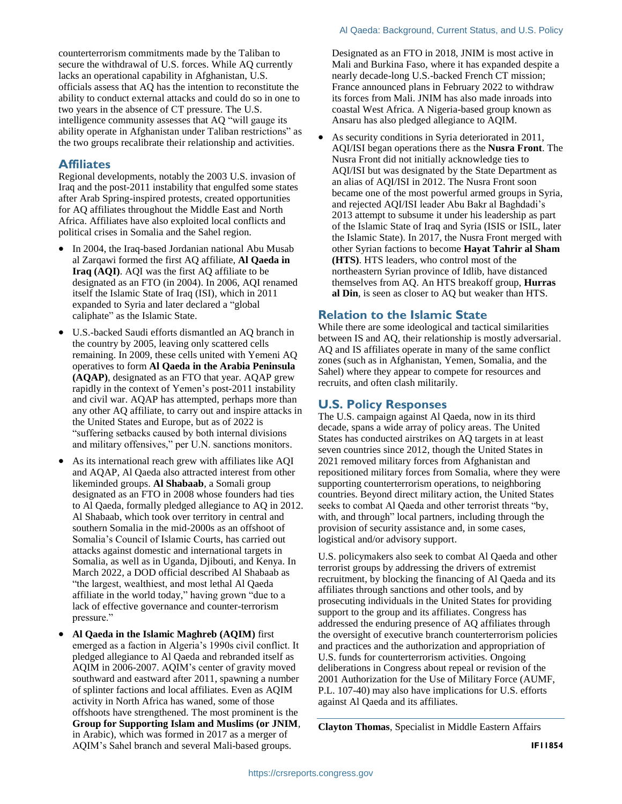counterterrorism commitments made by the Taliban to secure the withdrawal of U.S. forces. While AQ currently lacks an operational capability in Afghanistan, U.S. officials assess that AQ has the intention to reconstitute the ability to conduct external attacks and could do so in one to two years in the absence of CT pressure. The U.S. intelligence community assesses that AQ "will gauge its ability operate in Afghanistan under Taliban restrictions" as the two groups recalibrate their relationship and activities.

#### **Affiliates**

Regional developments, notably the 2003 U.S. invasion of Iraq and the post-2011 instability that engulfed some states after Arab Spring-inspired protests, created opportunities for AQ affiliates throughout the Middle East and North Africa. Affiliates have also exploited local conflicts and political crises in Somalia and the Sahel region.

- In 2004, the Iraq-based Jordanian national Abu Musab al Zarqawi formed the first AQ affiliate, **Al Qaeda in Iraq (AQI)**. AQI was the first AQ affiliate to be designated as an FTO (in 2004). In 2006, AQI renamed itself the Islamic State of Iraq (ISI), which in 2011 expanded to Syria and later declared a "global caliphate" as the Islamic State.
- U.S.-backed Saudi efforts dismantled an AQ branch in the country by 2005, leaving only scattered cells remaining. In 2009, these cells united with Yemeni AQ operatives to form **Al Qaeda in the Arabia Peninsula (AQAP)**, designated as an FTO that year. AQAP grew rapidly in the context of Yemen's post-2011 instability and civil war. AQAP has attempted, perhaps more than any other AQ affiliate, to carry out and inspire attacks in the United States and Europe, but as of 2022 is "suffering setbacks caused by both internal divisions and military offensives," per U.N. sanctions monitors.
- As its international reach grew with affiliates like AQI and AQAP, Al Qaeda also attracted interest from other likeminded groups. **Al Shabaab**, a Somali group designated as an FTO in 2008 whose founders had ties to Al Qaeda, formally pledged allegiance to AQ in 2012. Al Shabaab, which took over territory in central and southern Somalia in the mid-2000s as an offshoot of Somalia's Council of Islamic Courts, has carried out attacks against domestic and international targets in Somalia, as well as in Uganda, Djibouti, and Kenya. In March 2022, a DOD official described Al Shabaab as "the largest, wealthiest, and most lethal Al Qaeda affiliate in the world today," having grown "due to a lack of effective governance and counter-terrorism pressure."
- **Al Qaeda in the Islamic Maghreb (AQIM)** first emerged as a faction in Algeria's 1990s civil conflict. It pledged allegiance to Al Qaeda and rebranded itself as AQIM in 2006-2007. AQIM's center of gravity moved southward and eastward after 2011, spawning a number of splinter factions and local affiliates. Even as AQIM activity in North Africa has waned, some of those offshoots have strengthened. The most prominent is the **Group for Supporting Islam and Muslims (or JNIM**, in Arabic), which was formed in 2017 as a merger of AQIM's Sahel branch and several Mali-based groups.

Designated as an FTO in 2018, JNIM is most active in Mali and Burkina Faso, where it has expanded despite a nearly decade-long U.S.-backed French CT mission; France announced plans in February 2022 to withdraw its forces from Mali. JNIM has also made inroads into coastal West Africa. A Nigeria-based group known as Ansaru has also pledged allegiance to AQIM.

 As security conditions in Syria deteriorated in 2011, AQI/ISI began operations there as the **Nusra Front**. The Nusra Front did not initially acknowledge ties to AQI/ISI but was designated by the State Department as an alias of AQI/ISI in 2012. The Nusra Front soon became one of the most powerful armed groups in Syria, and rejected AQI/ISI leader Abu Bakr al Baghdadi's 2013 attempt to subsume it under his leadership as part of the Islamic State of Iraq and Syria (ISIS or ISIL, later the Islamic State). In 2017, the Nusra Front merged with other Syrian factions to become **Hayat Tahrir al Sham (HTS)**. HTS leaders, who control most of the northeastern Syrian province of Idlib, have distanced themselves from AQ. An HTS breakoff group, **Hurras al Din**, is seen as closer to AQ but weaker than HTS.

#### **Relation to the Islamic State**

While there are some ideological and tactical similarities between IS and AQ, their relationship is mostly adversarial. AQ and IS affiliates operate in many of the same conflict zones (such as in Afghanistan, Yemen, Somalia, and the Sahel) where they appear to compete for resources and recruits, and often clash militarily.

### **U.S. Policy Responses**

The U.S. campaign against Al Qaeda, now in its third decade, spans a wide array of policy areas. The United States has conducted airstrikes on AQ targets in at least seven countries since 2012, though the United States in 2021 removed military forces from Afghanistan and repositioned military forces from Somalia, where they were supporting counterterrorism operations, to neighboring countries. Beyond direct military action, the United States seeks to combat Al Qaeda and other terrorist threats "by, with, and through" local partners, including through the provision of security assistance and, in some cases, logistical and/or advisory support.

U.S. policymakers also seek to combat Al Qaeda and other terrorist groups by addressing the drivers of extremist recruitment, by blocking the financing of Al Qaeda and its affiliates through sanctions and other tools, and by prosecuting individuals in the United States for providing support to the group and its affiliates. Congress has addressed the enduring presence of AQ affiliates through the oversight of executive branch counterterrorism policies and practices and the authorization and appropriation of U.S. funds for counterterrorism activities. Ongoing deliberations in Congress about repeal or revision of the 2001 Authorization for the Use of Military Force (AUMF, P.L. 107-40) may also have implications for U.S. efforts against Al Qaeda and its affiliates.

**Clayton Thomas**, Specialist in Middle Eastern Affairs